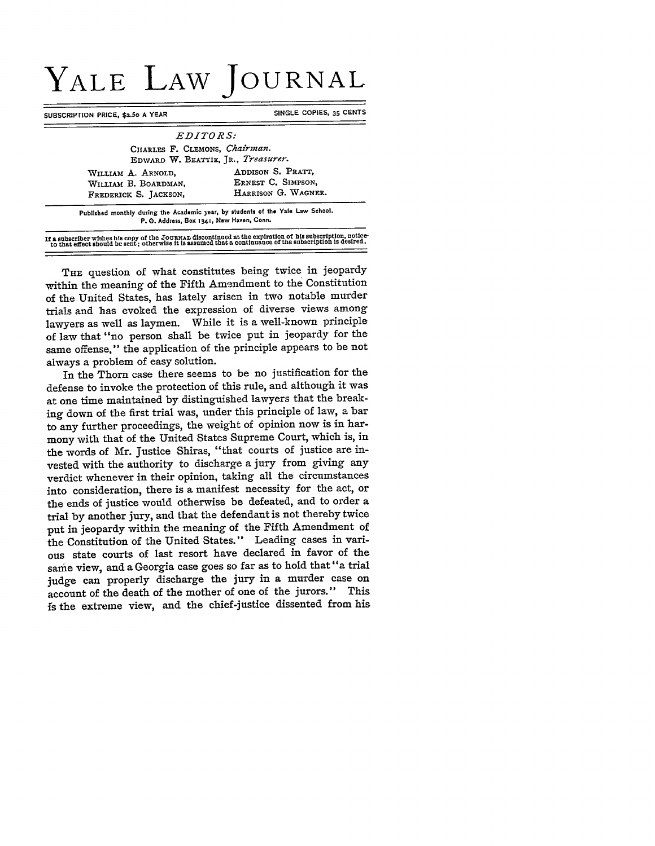## YALE LAW **JOURNAL**

| SUBSCRIPTION PRICE, \$2.5º A YEAR                                   | SINGLE COPIES, 35 CENTS                                                                                                      |
|---------------------------------------------------------------------|------------------------------------------------------------------------------------------------------------------------------|
|                                                                     | <i>EDITORS:</i>                                                                                                              |
| CHARLES F. CLEMONS, Chairman.                                       | EDWARD W. BEATTIE, JR., Treasurer.                                                                                           |
| WILLIAM A. ARNOLD,<br>WILLIAM B. BOARDMAN,<br>FREDERICK S. JACKSON, | ADDISON S. PRATT,<br>ERNEST C. SIMPSON,<br>HARRISON G. WAGNER.                                                               |
|                                                                     | Published monthly during the Academic year, by students of the Yale Law School.<br>P. O. Address, Box 1341, New Haven, Conn. |

THE question of what constitutes being twice in jeopardy within the meaning of the Fifth Amendment to the Constitution of the United States, has lately arisen in two notable murder trials and has evoked the expression of diverse views among lawyers as well as laymen. While it is a well-known principle of law that "no person shall be twice put in jeopardy for the same offense," the application of the principle appears to be not always a problem of easy solution.

In the Thorn case there seems to be no justification for the defense to invoke the protection of this rule, and although it was at one time maintained by distinguished lawyers that the breaking down of the first trial was, under this principle of law, a bar to any further proceedings, the weight of opinion now is in harmony with that of the United States Supreme Court, which is, in the words of Mr. Justice Shiras, "that courts of justice are invested with the authority to discharge a jury from giving any verdict whenever in their opinion, taking all the circumstances into consideration, there is a manifest necessity for the act, or the ends of justice would otherwise be defeated, and to order a trial by another jury, and that the defendant is not thereby twice put in jeopardy within the meaning of the Fifth Amendment of the Constitution of the United States." Leading cases in various state courts of last resort have declared in favor of the same view, and a Georgia case goes so far as to hold that "a trial judge can properly discharge the jury in a murder case on account of the death of the mother of one of the jurors." This is the extreme view, and the chief-justice dissented from his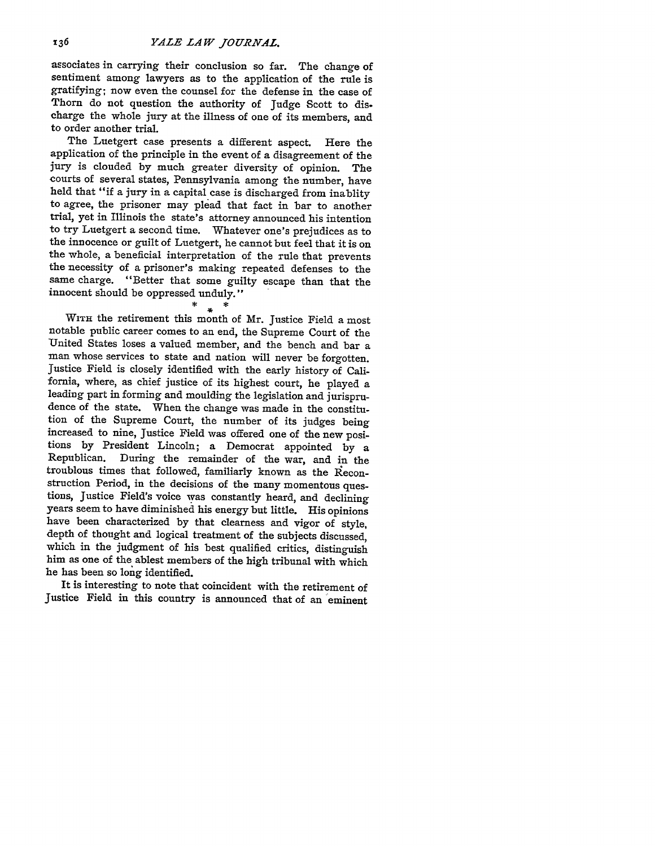associates in carrying their conclusion so far. The change of sentiment among lawyers as to the application of the rule is gratifying; now even the counsel for the defense in the case of Thorn do not question the authority of judge Scott to discharge the whole jury at the illness of one of its members, and to order another trial.

The Luetgert case presents a different aspect. Here the application of the principle in the event of a disagreement of the jury is clouded **by** much greater diversity of opinion. The courts of several states, Pennsylvania among the number, have held that "if a jury in a capital case is discharged from inablity to agree, the prisoner may plead that fact in bar to another trial, yet in Illinois the state's attorney announced his intention to try Luetgert a second time. Whatever one's prejudices as to the innocence or guilt of Luetgert, he cannot but feel that it is on the whole, a beneficial interpretation of the rule that prevents the necessity of a prisoner's making repeated defenses to the same charge. "Better that some guilty escape than that the innocent should be oppressed unduly."

WITH the retirement this month of Mr. Justice Field a most notable public career comes to an end, the Supreme Court of the United States loses a valued member, and the bench and bar a man whose services to state and nation will never be forgotten. Justice Field is closely identified with the early history of California, where, as chief justice of its highest court, he played a leading part in forming and moulding the legislation and jurisprudence of the state. When the change was made in the constitution of the Supreme Court, the number of its judges being increased to nine, Justice Field was offered one of the new positions **by** President Lincoln; a Democrat appointed by a Republican. During the remainder of the war, and in the troublous times that followed, familiarly known as the Reconstruction Period, in the decisions of the many momentous questions, Justice Field's voice was constantly heard, and declining years seem to have diminished his energy but little. His opinions have been characterized by that clearness and vigor of style, depth of thought and logical treatment of the subjects discussed, which in the judgment of his best qualified critics, distinguish him as one of the ablest members of the high tribunal with which he has been so long identified.

It is interesting to note that coincident with the retirement of Justice Field in this country is announced that of an eminent